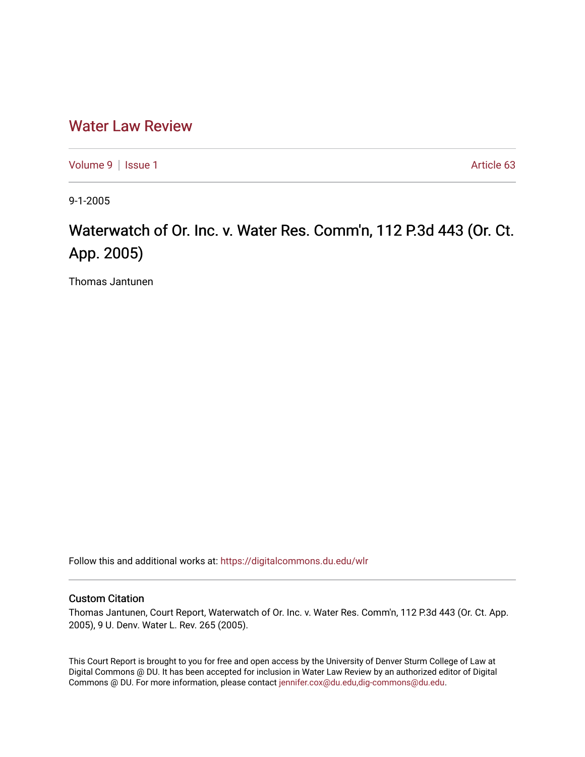## [Water Law Review](https://digitalcommons.du.edu/wlr)

[Volume 9](https://digitalcommons.du.edu/wlr/vol9) | [Issue 1](https://digitalcommons.du.edu/wlr/vol9/iss1) Article 63

9-1-2005

## Waterwatch of Or. Inc. v. Water Res. Comm'n, 112 P.3d 443 (Or. Ct. App. 2005)

Thomas Jantunen

Follow this and additional works at: [https://digitalcommons.du.edu/wlr](https://digitalcommons.du.edu/wlr?utm_source=digitalcommons.du.edu%2Fwlr%2Fvol9%2Fiss1%2F63&utm_medium=PDF&utm_campaign=PDFCoverPages) 

## Custom Citation

Thomas Jantunen, Court Report, Waterwatch of Or. Inc. v. Water Res. Comm'n, 112 P.3d 443 (Or. Ct. App. 2005), 9 U. Denv. Water L. Rev. 265 (2005).

This Court Report is brought to you for free and open access by the University of Denver Sturm College of Law at Digital Commons @ DU. It has been accepted for inclusion in Water Law Review by an authorized editor of Digital Commons @ DU. For more information, please contact [jennifer.cox@du.edu,dig-commons@du.edu.](mailto:jennifer.cox@du.edu,dig-commons@du.edu)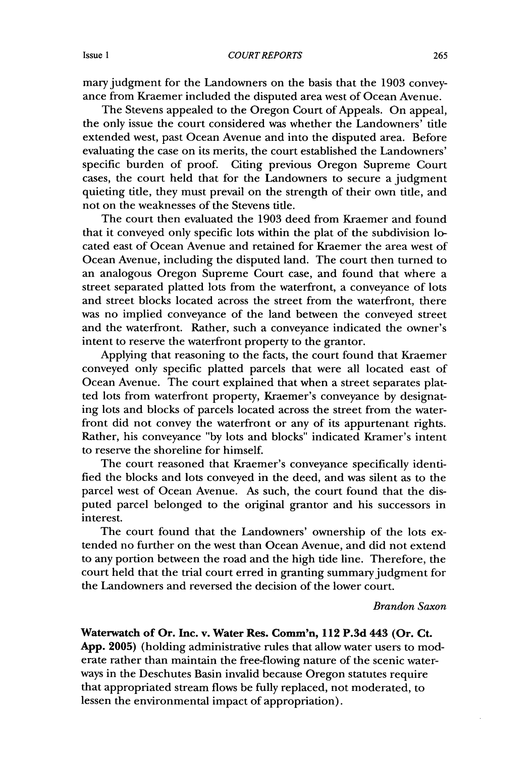mary judgment for the Landowners on the basis that the 1903 conveyance from Kraemer included the disputed area west of Ocean Avenue.

The Stevens appealed to the Oregon Court of Appeals. On appeal, the only issue the court considered was whether the Landowners' title extended west, past Ocean Avenue and into the disputed area. Before evaluating the case on its merits, the court established the Landowners' specific burden of proof. Citing previous Oregon Supreme Court cases, the court held that for the Landowners to secure a judgment quieting title, they must prevail on the strength of their own title, and not on the weaknesses of the Stevens title.

The court then evaluated the 1903 deed from Kraemer and found that it conveyed only specific lots within the plat of the subdivision located east of Ocean Avenue and retained for Kraemer the area west of Ocean Avenue, including the disputed land. The court then turned to an analogous Oregon Supreme Court case, and found that where a street separated platted lots from the waterfront, a conveyance of lots and street blocks located across the street from the waterfront, there was no implied conveyance of the land between the conveyed street and the waterfront. Rather, such a conveyance indicated the owner's intent to reserve the waterfront property to the grantor.

Applying that reasoning to the facts, the court found that Kraemer conveyed only specific platted parcels that were all located east of Ocean Avenue. The court explained that when a street separates platted lots from waterfront property, Kraemer's conveyance by designating lots and blocks of parcels located across the street from the waterfront did not convey the waterfront or any of its appurtenant rights. Rather, his conveyance "by lots and blocks" indicated Kramer's intent to reserve the shoreline for himself.

The court reasoned that Kraemer's conveyance specifically identified the blocks and lots conveyed in the deed, and was silent as to the parcel west of Ocean Avenue. As such, the court found that the disputed parcel belonged to the original grantor and his successors in interest.

The court found that the Landowners' ownership of the lots extended no further on the west than Ocean Avenue, and did not extend to any portion between the road and the high tide line. Therefore, the court held that the trial court erred in granting summary judgment for the Landowners and reversed the decision of the lower court.

*Brandon Saxon*

**Waterwatch of Or. Inc. v. Water Res. Comm'n, 112 P.3d 443 (Or. Ct. App. 2005)** (holding administrative rules that allow water users to moderate rather than maintain the free-flowing nature of the scenic waterways in the Deschutes Basin invalid because Oregon statutes require that appropriated stream flows be fully replaced, not moderated, to lessen the environmental impact of appropriation).